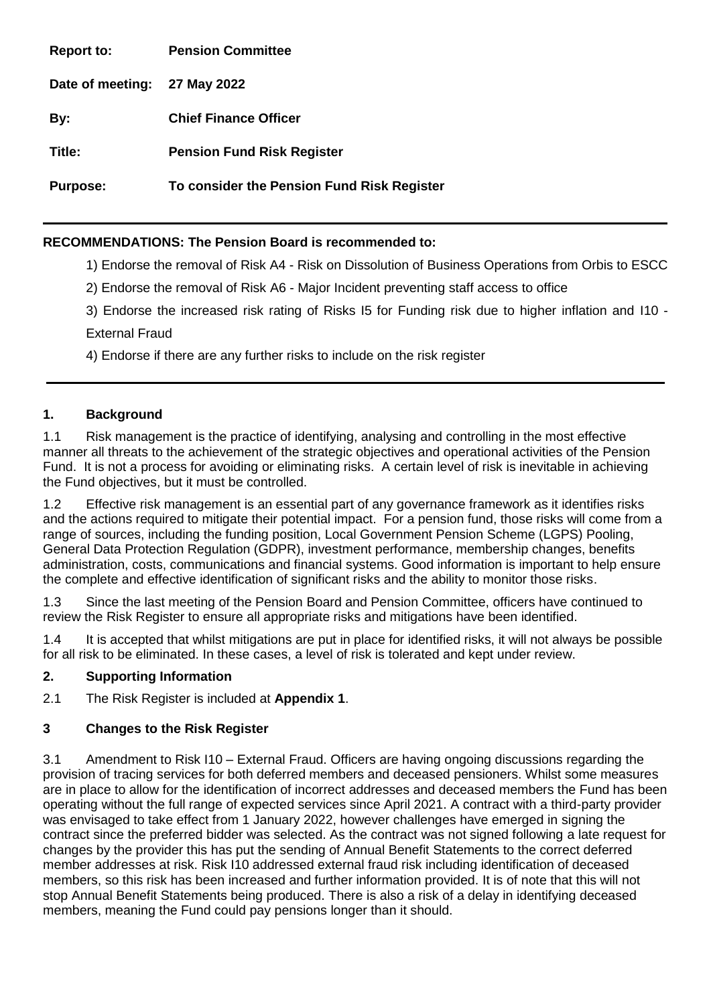**Report to: Pension Committee Date of meeting: 27 May 2022 By: Chief Finance Officer Title: Pension Fund Risk Register Purpose: To consider the Pension Fund Risk Register** 

# **RECOMMENDATIONS: The Pension Board is recommended to:**

1) Endorse the removal of Risk A4 - Risk on Dissolution of Business Operations from Orbis to ESCC

2) Endorse the removal of Risk A6 - Major Incident preventing staff access to office

3) Endorse the increased risk rating of Risks I5 for Funding risk due to higher inflation and I10 - External Fraud

4) Endorse if there are any further risks to include on the risk register

#### **1. Background**

1.1 Risk management is the practice of identifying, analysing and controlling in the most effective manner all threats to the achievement of the strategic objectives and operational activities of the Pension Fund. It is not a process for avoiding or eliminating risks. A certain level of risk is inevitable in achieving the Fund objectives, but it must be controlled.

1.2 Effective risk management is an essential part of any governance framework as it identifies risks and the actions required to mitigate their potential impact. For a pension fund, those risks will come from a range of sources, including the funding position, Local Government Pension Scheme (LGPS) Pooling, General Data Protection Regulation (GDPR), investment performance, membership changes, benefits administration, costs, communications and financial systems. Good information is important to help ensure the complete and effective identification of significant risks and the ability to monitor those risks.

1.3 Since the last meeting of the Pension Board and Pension Committee, officers have continued to review the Risk Register to ensure all appropriate risks and mitigations have been identified.

1.4 It is accepted that whilst mitigations are put in place for identified risks, it will not always be possible for all risk to be eliminated. In these cases, a level of risk is tolerated and kept under review.

#### **2. Supporting Information**

2.1 The Risk Register is included at **Appendix 1**.

# **3 Changes to the Risk Register**

3.1 Amendment to Risk I10 – External Fraud. Officers are having ongoing discussions regarding the provision of tracing services for both deferred members and deceased pensioners. Whilst some measures are in place to allow for the identification of incorrect addresses and deceased members the Fund has been operating without the full range of expected services since April 2021. A contract with a third-party provider was envisaged to take effect from 1 January 2022, however challenges have emerged in signing the contract since the preferred bidder was selected. As the contract was not signed following a late request for changes by the provider this has put the sending of Annual Benefit Statements to the correct deferred member addresses at risk. Risk I10 addressed external fraud risk including identification of deceased members, so this risk has been increased and further information provided. It is of note that this will not stop Annual Benefit Statements being produced. There is also a risk of a delay in identifying deceased members, meaning the Fund could pay pensions longer than it should.